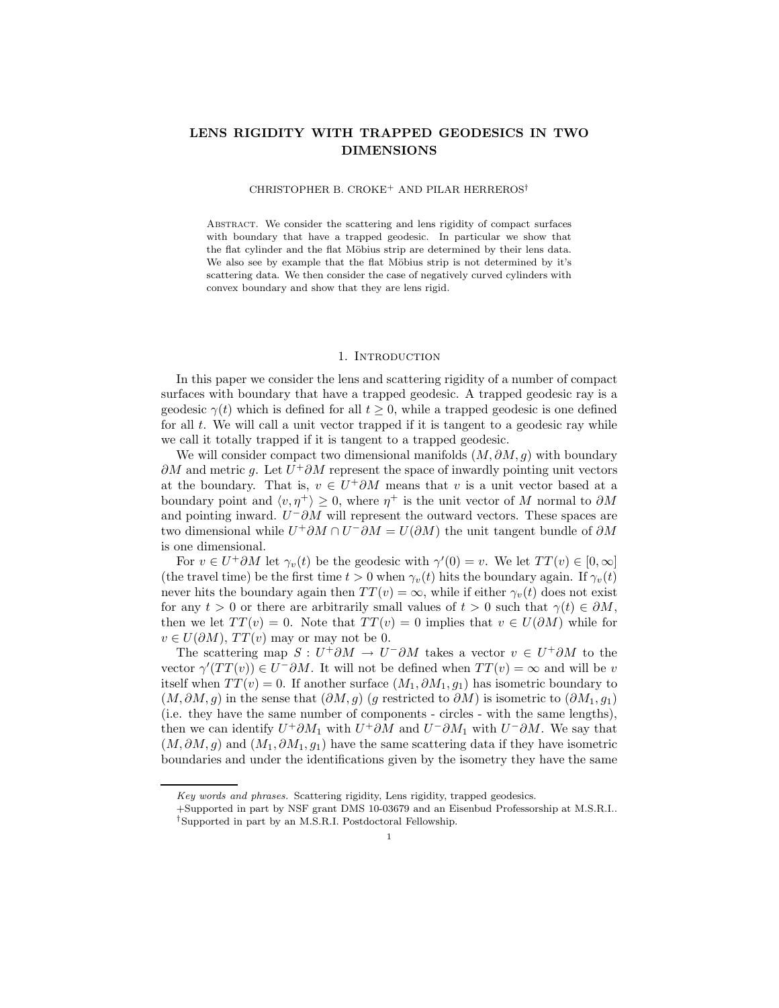## LENS RIGIDITY WITH TRAPPED GEODESICS IN TWO DIMENSIONS

#### CHRISTOPHER B. CROKE<sup>+</sup> AND PILAR HERREROS†

ABSTRACT. We consider the scattering and lens rigidity of compact surfaces with boundary that have a trapped geodesic. In particular we show that the flat cylinder and the flat Möbius strip are determined by their lens data. We also see by example that the flat Möbius strip is not determined by it's scattering data. We then consider the case of negatively curved cylinders with convex boundary and show that they are lens rigid.

### 1. INTRODUCTION

In this paper we consider the lens and scattering rigidity of a number of compact surfaces with boundary that have a trapped geodesic. A trapped geodesic ray is a geodesic  $\gamma(t)$  which is defined for all  $t \geq 0$ , while a trapped geodesic is one defined for all  $t$ . We will call a unit vector trapped if it is tangent to a geodesic ray while we call it totally trapped if it is tangent to a trapped geodesic.

We will consider compact two dimensional manifolds  $(M, \partial M, g)$  with boundary  $\partial M$  and metric g. Let  $U^+ \partial M$  represent the space of inwardly pointing unit vectors at the boundary. That is,  $v \in U^+ \partial M$  means that v is a unit vector based at a boundary point and  $\langle v, \eta^+ \rangle \geq 0$ , where  $\eta^+$  is the unit vector of M normal to  $\partial M$ and pointing inward.  $U^- \partial M$  will represent the outward vectors. These spaces are two dimensional while  $U^+ \partial M \cap U^- \partial M = U(\partial M)$  the unit tangent bundle of  $\partial M$ is one dimensional.

For  $v \in U^+ \partial M$  let  $\gamma_v(t)$  be the geodesic with  $\gamma'(0) = v$ . We let  $TT(v) \in [0, \infty]$ (the travel time) be the first time  $t > 0$  when  $\gamma_v(t)$  hits the boundary again. If  $\gamma_v(t)$ never hits the boundary again then  $TT(v) = \infty$ , while if either  $\gamma_v(t)$  does not exist for any  $t > 0$  or there are arbitrarily small values of  $t > 0$  such that  $\gamma(t) \in \partial M$ , then we let  $TT(v) = 0$ . Note that  $TT(v) = 0$  implies that  $v \in U(\partial M)$  while for  $v \in U(\partial M)$ ,  $TT(v)$  may or may not be 0.

The scattering map  $S: U^+ \partial M \to U^- \partial M$  takes a vector  $v \in U^+ \partial M$  to the vector  $\gamma'(TT(v)) \in U^- \partial M$ . It will not be defined when  $TT(v) = \infty$  and will be v itself when  $TT(v) = 0$ . If another surface  $(M_1, \partial M_1, g_1)$  has isometric boundary to  $(M, \partial M, g)$  in the sense that  $(\partial M, g)$  (g restricted to  $\partial M$ ) is isometric to  $(\partial M_1, g_1)$ (i.e. they have the same number of components - circles - with the same lengths), then we can identify  $U^+ \partial M_1$  with  $U^+ \partial M$  and  $U^- \partial M_1$  with  $U^- \partial M$ . We say that  $(M, \partial M, g)$  and  $(M_1, \partial M_1, g_1)$  have the same scattering data if they have isometric boundaries and under the identifications given by the isometry they have the same

Key words and phrases. Scattering rigidity, Lens rigidity, trapped geodesics.

<sup>+</sup>Supported in part by NSF grant DMS 10-03679 and an Eisenbud Professorship at M.S.R.I.. †Supported in part by an M.S.R.I. Postdoctoral Fellowship.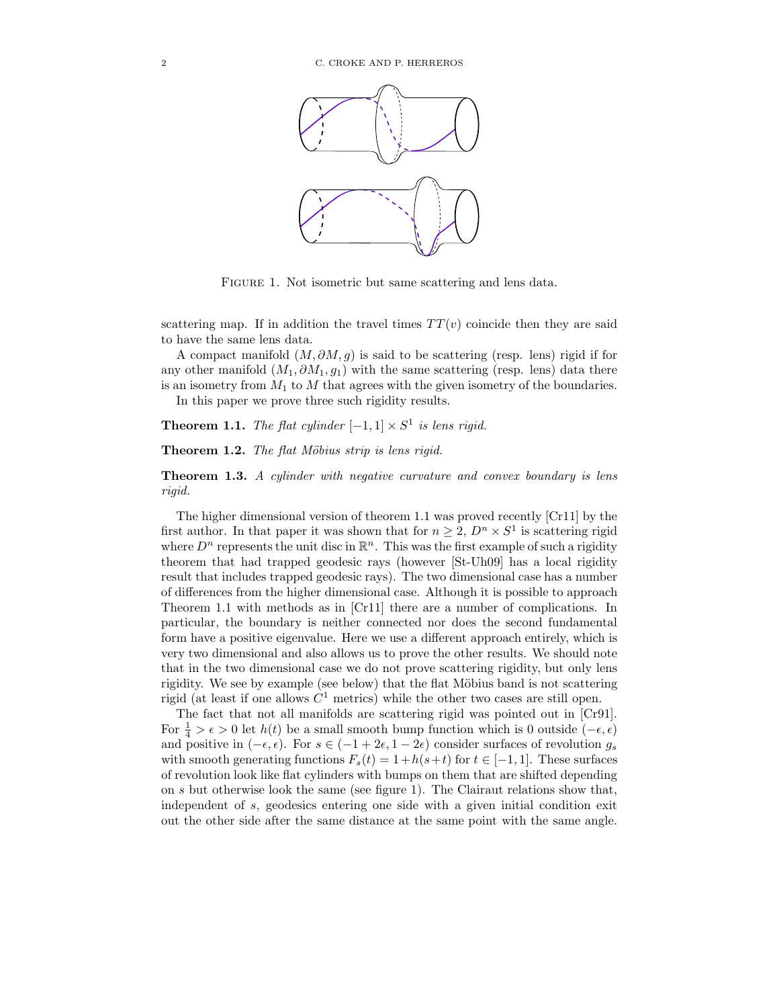

FIGURE 1. Not isometric but same scattering and lens data.

scattering map. If in addition the travel times  $TT(v)$  coincide then they are said to have the same lens data.

A compact manifold  $(M, \partial M, g)$  is said to be scattering (resp. lens) rigid if for any other manifold  $(M_1, \partial M_1, g_1)$  with the same scattering (resp. lens) data there is an isometry from  $M_1$  to  $M$  that agrees with the given isometry of the boundaries.

In this paper we prove three such rigidity results.

**Theorem 1.1.** *The flat cylinder*  $[-1,1] \times S^1$  *is lens rigid.* 

Theorem 1.2. *The flat Möbius strip is lens rigid.* 

Theorem 1.3. *A cylinder with negative curvature and convex boundary is lens rigid.*

The higher dimensional version of theorem 1.1 was proved recently [Cr11] by the first author. In that paper it was shown that for  $n \geq 2$ ,  $D^n \times S^1$  is scattering rigid where  $D^n$  represents the unit disc in  $\mathbb{R}^n$ . This was the first example of such a rigidity theorem that had trapped geodesic rays (however [St-Uh09] has a local rigidity result that includes trapped geodesic rays). The two dimensional case has a number of differences from the higher dimensional case. Although it is possible to approach Theorem 1.1 with methods as in [Cr11] there are a number of complications. In particular, the boundary is neither connected nor does the second fundamental form have a positive eigenvalue. Here we use a different approach entirely, which is very two dimensional and also allows us to prove the other results. We should note that in the two dimensional case we do not prove scattering rigidity, but only lens rigidity. We see by example (see below) that the flat Möbius band is not scattering rigid (at least if one allows  $C^1$  metrics) while the other two cases are still open.

The fact that not all manifolds are scattering rigid was pointed out in [Cr91]. For  $\frac{1}{4} > \epsilon > 0$  let  $h(t)$  be a small smooth bump function which is 0 outside  $(-\epsilon, \epsilon)$ and positive in  $(-\epsilon, \epsilon)$ . For  $s \in (-1 + 2\epsilon, 1 - 2\epsilon)$  consider surfaces of revolution  $g_s$ with smooth generating functions  $F_s(t) = 1 + h(s+t)$  for  $t \in [-1,1]$ . These surfaces of revolution look like flat cylinders with bumps on them that are shifted depending on s but otherwise look the same (see figure 1). The Clairaut relations show that, independent of s, geodesics entering one side with a given initial condition exit out the other side after the same distance at the same point with the same angle.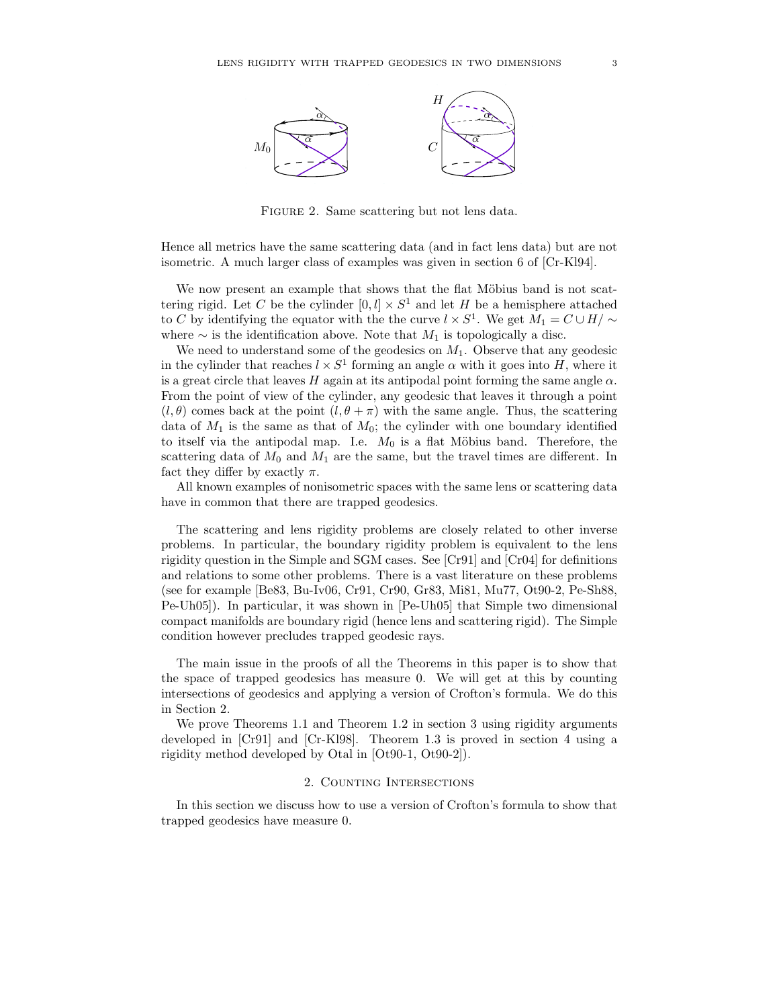

Figure 2. Same scattering but not lens data.

Hence all metrics have the same scattering data (and in fact lens data) but are not isometric. A much larger class of examples was given in section 6 of [Cr-Kl94].

We now present an example that shows that the flat Möbius band is not scattering rigid. Let C be the cylinder  $[0, l] \times S^1$  and let H be a hemisphere attached to C by identifying the equator with the the curve  $l \times S^1$ . We get  $M_1 = C \cup H / \sim$ where  $\sim$  is the identification above. Note that  $M_1$  is topologically a disc.

We need to understand some of the geodesics on  $M_1$ . Observe that any geodesic in the cylinder that reaches  $l \times S^1$  forming an angle  $\alpha$  with it goes into H, where it is a great circle that leaves H again at its antipodal point forming the same angle  $\alpha$ . From the point of view of the cylinder, any geodesic that leaves it through a point  $(l, \theta)$  comes back at the point  $(l, \theta + \pi)$  with the same angle. Thus, the scattering data of  $M_1$  is the same as that of  $M_0$ ; the cylinder with one boundary identified to itself via the antipodal map. I.e.  $M_0$  is a flat Möbius band. Therefore, the scattering data of  $M_0$  and  $M_1$  are the same, but the travel times are different. In fact they differ by exactly  $\pi$ .

All known examples of nonisometric spaces with the same lens or scattering data have in common that there are trapped geodesics.

The scattering and lens rigidity problems are closely related to other inverse problems. In particular, the boundary rigidity problem is equivalent to the lens rigidity question in the Simple and SGM cases. See [Cr91] and [Cr04] for definitions and relations to some other problems. There is a vast literature on these problems (see for example [Be83, Bu-Iv06, Cr91, Cr90, Gr83, Mi81, Mu77, Ot90-2, Pe-Sh88, Pe-Uh05]). In particular, it was shown in [Pe-Uh05] that Simple two dimensional compact manifolds are boundary rigid (hence lens and scattering rigid). The Simple condition however precludes trapped geodesic rays.

The main issue in the proofs of all the Theorems in this paper is to show that the space of trapped geodesics has measure 0. We will get at this by counting intersections of geodesics and applying a version of Crofton's formula. We do this in Section 2.

We prove Theorems 1.1 and Theorem 1.2 in section 3 using rigidity arguments developed in [Cr91] and [Cr-Kl98]. Theorem 1.3 is proved in section 4 using a rigidity method developed by Otal in [Ot90-1, Ot90-2]).

#### 2. Counting Intersections

In this section we discuss how to use a version of Crofton's formula to show that trapped geodesics have measure 0.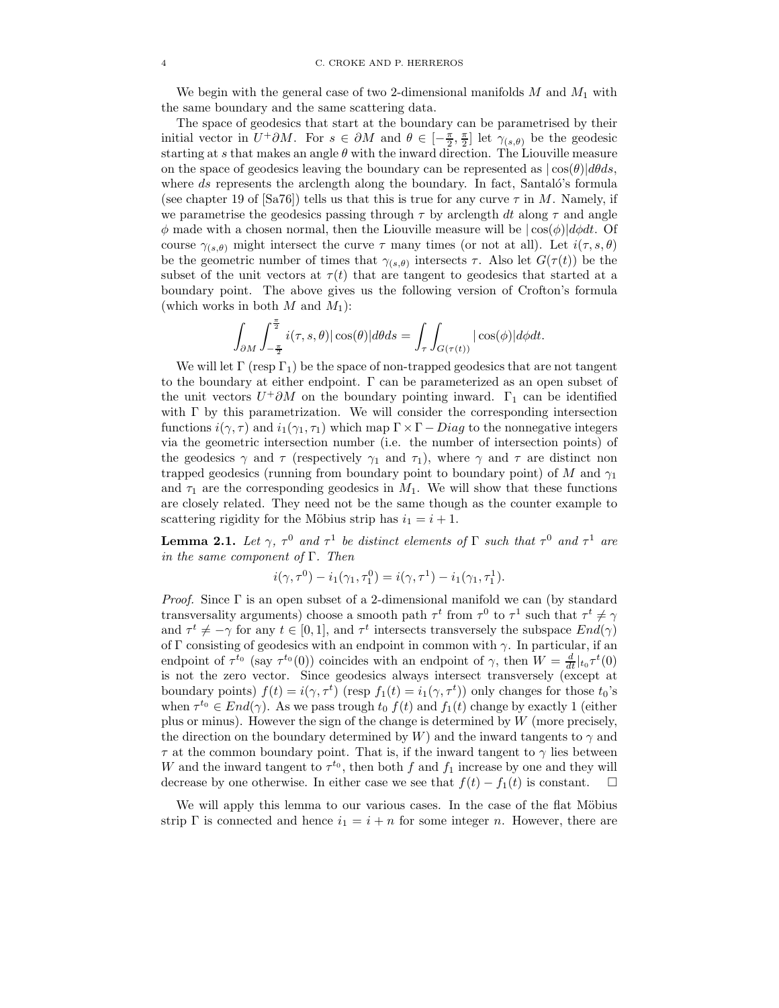We begin with the general case of two 2-dimensional manifolds  $M$  and  $M_1$  with the same boundary and the same scattering data.

The space of geodesics that start at the boundary can be parametrised by their initial vector in  $U^+\partial M$ . For  $s \in \partial M$  and  $\theta \in [-\frac{\pi}{2},\frac{\pi}{2}]$  let  $\gamma_{(s,\theta)}$  be the geodesic starting at s that makes an angle  $\theta$  with the inward direction. The Liouville measure on the space of geodesics leaving the boundary can be represented as  $|\cos(\theta)|d\theta ds$ , where  $ds$  represents the arclength along the boundary. In fact, Santaló's formula (see chapter 19 of [Sa76]) tells us that this is true for any curve  $\tau$  in M. Namely, if we parametrise the geodesics passing through  $\tau$  by arclength dt along  $\tau$  and angle  $\phi$  made with a chosen normal, then the Liouville measure will be  $|\cos(\phi)|d\phi dt$ . Of course  $\gamma_{(s,\theta)}$  might intersect the curve  $\tau$  many times (or not at all). Let  $i(\tau,s,\theta)$ be the geometric number of times that  $\gamma_{(s,\theta)}$  intersects  $\tau$ . Also let  $G(\tau(t))$  be the subset of the unit vectors at  $\tau(t)$  that are tangent to geodesics that started at a boundary point. The above gives us the following version of Crofton's formula (which works in both  $M$  and  $M_1$ ):

$$
\int_{\partial M}\int_{-\frac{\pi}{2}}^{\frac{\pi}{2}}i(\tau,s,\theta)|\cos(\theta)|d\theta ds=\int_{\tau}\int_{G(\tau(t))}|\cos(\phi)|d\phi dt.
$$

We will let  $\Gamma$  (resp  $\Gamma_1$ ) be the space of non-trapped geodesics that are not tangent to the boundary at either endpoint. Γ can be parameterized as an open subset of the unit vectors  $U^+ \partial M$  on the boundary pointing inward.  $\Gamma_1$  can be identified with  $\Gamma$  by this parametrization. We will consider the corresponding intersection functions  $i(\gamma, \tau)$  and  $i_1(\gamma_1, \tau_1)$  which map  $\Gamma \times \Gamma$  - Diag to the nonnegative integers via the geometric intersection number (i.e. the number of intersection points) of the geodesics  $\gamma$  and  $\tau$  (respectively  $\gamma_1$  and  $\tau_1$ ), where  $\gamma$  and  $\tau$  are distinct non trapped geodesics (running from boundary point to boundary point) of M and  $\gamma_1$ and  $\tau_1$  are the corresponding geodesics in  $M_1$ . We will show that these functions are closely related. They need not be the same though as the counter example to scattering rigidity for the Möbius strip has  $i_1 = i + 1$ .

**Lemma 2.1.** Let  $\gamma$ ,  $\tau^0$  and  $\tau^1$  be distinct elements of  $\Gamma$  such that  $\tau^0$  and  $\tau^1$  are *in the same component of* Γ*. Then*

$$
i(\gamma, \tau^{0}) - i_{1}(\gamma_{1}, \tau_{1}^{0}) = i(\gamma, \tau^{1}) - i_{1}(\gamma_{1}, \tau_{1}^{1}).
$$

*Proof.* Since  $\Gamma$  is an open subset of a 2-dimensional manifold we can (by standard transversality arguments) choose a smooth path  $\tau^t$  from  $\tau^0$  to  $\tau^1$  such that  $\tau^t \neq \gamma$ and  $\tau^t \neq -\gamma$  for any  $t \in [0, 1]$ , and  $\tau^t$  intersects transversely the subspace  $End(\gamma)$ of Γ consisting of geodesics with an endpoint in common with  $\gamma$ . In particular, if an endpoint of  $\tau^{t_0}$  (say  $\tau^{t_0}(0)$ ) coincides with an endpoint of  $\gamma$ , then  $W = \frac{d}{dt}|_{t_0} \tau^t(0)$ is not the zero vector. Since geodesics always intersect transversely (except at boundary points)  $f(t) = i(\gamma, \tau^t)$  (resp  $f_1(t) = i_1(\gamma, \tau^t)$ ) only changes for those  $t_0$ 's when  $\tau^{t_0} \in End(\gamma)$ . As we pass trough  $t_0$   $f(t)$  and  $f_1(t)$  change by exactly 1 (either plus or minus). However the sign of the change is determined by W (more precisely, the direction on the boundary determined by W) and the inward tangents to  $\gamma$  and  $\tau$  at the common boundary point. That is, if the inward tangent to  $\gamma$  lies between W and the inward tangent to  $\tau^{t_0}$ , then both f and  $f_1$  increase by one and they will decrease by one otherwise. In either case we see that  $f(t) - f_1(t)$  is constant.  $□$ 

We will apply this lemma to our various cases. In the case of the flat Möbius strip Γ is connected and hence  $i_1 = i + n$  for some integer n. However, there are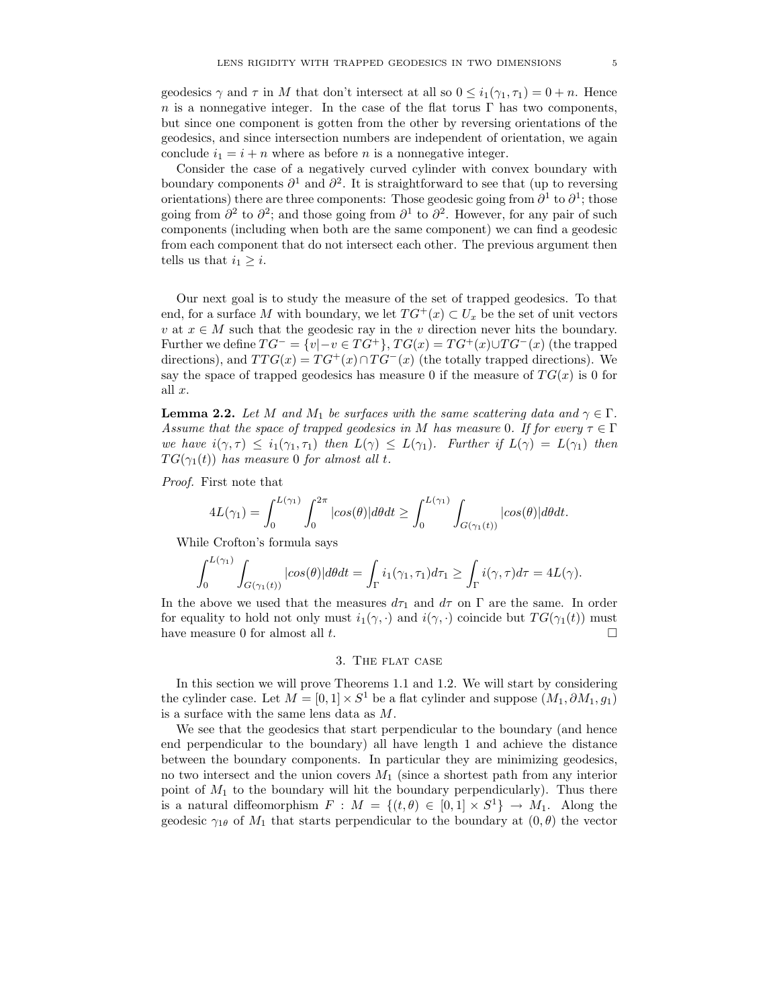geodesics  $\gamma$  and  $\tau$  in M that don't intersect at all so  $0 \leq i_1(\gamma_1, \tau_1) = 0 + n$ . Hence n is a nonnegative integer. In the case of the flat torus  $\Gamma$  has two components, but since one component is gotten from the other by reversing orientations of the geodesics, and since intersection numbers are independent of orientation, we again conclude  $i_1 = i + n$  where as before n is a nonnegative integer.

Consider the case of a negatively curved cylinder with convex boundary with boundary components  $\partial^1$  and  $\partial^2$ . It is straightforward to see that (up to reversing orientations) there are three components: Those geodesic going from  $\partial^1$  to  $\partial^1$ ; those going from  $\partial^2$  to  $\partial^2$ ; and those going from  $\partial^1$  to  $\partial^2$ . However, for any pair of such components (including when both are the same component) we can find a geodesic from each component that do not intersect each other. The previous argument then tells us that  $i_1 \geq i$ .

Our next goal is to study the measure of the set of trapped geodesics. To that end, for a surface M with boundary, we let  $TG^+(x) \subset U_x$  be the set of unit vectors v at  $x \in M$  such that the geodesic ray in the v direction never hits the boundary. Further we define  $TG^- = \{v | -v \in TG^+ \}$ ,  $TG(x) = TG^+(x) \cup TG^-(x)$  (the trapped directions), and  $TTG(x) = TG^{+}(x) \cap TG^{-}(x)$  (the totally trapped directions). We say the space of trapped geodesics has measure 0 if the measure of  $TG(x)$  is 0 for all x.

**Lemma 2.2.** *Let* M *and*  $M_1$  *be surfaces with the same scattering data and*  $\gamma \in \Gamma$ *. Assume that the space of trapped geodesics in* M *has measure* 0*. If for every*  $\tau \in \Gamma$ *we have*  $i(\gamma, \tau) \leq i_1(\gamma_1, \tau_1)$  *then*  $L(\gamma) \leq L(\gamma_1)$ *. Further if*  $L(\gamma) = L(\gamma_1)$  *then*  $TG(\gamma_1(t))$  *has measure* 0 *for almost all t.* 

*Proof.* First note that

$$
4L(\gamma_1) = \int_0^{L(\gamma_1)} \int_0^{2\pi} |cos(\theta)| d\theta dt \ge \int_0^{L(\gamma_1)} \int_{G(\gamma_1(t))} |cos(\theta)| d\theta dt.
$$

While Crofton's formula says

$$
\int_0^{L(\gamma_1)} \int_{G(\gamma_1(t))} |\cos(\theta)| d\theta dt = \int_{\Gamma} i_1(\gamma_1, \tau_1) d\tau_1 \ge \int_{\Gamma} i(\gamma, \tau) d\tau = 4L(\gamma).
$$

In the above we used that the measures  $d\tau_1$  and  $d\tau$  on  $\Gamma$  are the same. In order for equality to hold not only must  $i_1(\gamma, \cdot)$  and  $i(\gamma, \cdot)$  coincide but  $TG(\gamma_1(t))$  must have measure 0 for almost all  $t$ .

#### 3. The flat case

In this section we will prove Theorems 1.1 and 1.2. We will start by considering the cylinder case. Let  $M = [0, 1] \times S^1$  be a flat cylinder and suppose  $(M_1, \partial M_1, g_1)$ is a surface with the same lens data as M.

We see that the geodesics that start perpendicular to the boundary (and hence end perpendicular to the boundary) all have length 1 and achieve the distance between the boundary components. In particular they are minimizing geodesics, no two intersect and the union covers  $M_1$  (since a shortest path from any interior point of  $M_1$  to the boundary will hit the boundary perpendicularly). Thus there is a natural diffeomorphism  $F : M = \{(t, \theta) \in [0, 1] \times S^1\} \to M_1$ . Along the geodesic  $\gamma_{1\theta}$  of  $M_1$  that starts perpendicular to the boundary at  $(0, \theta)$  the vector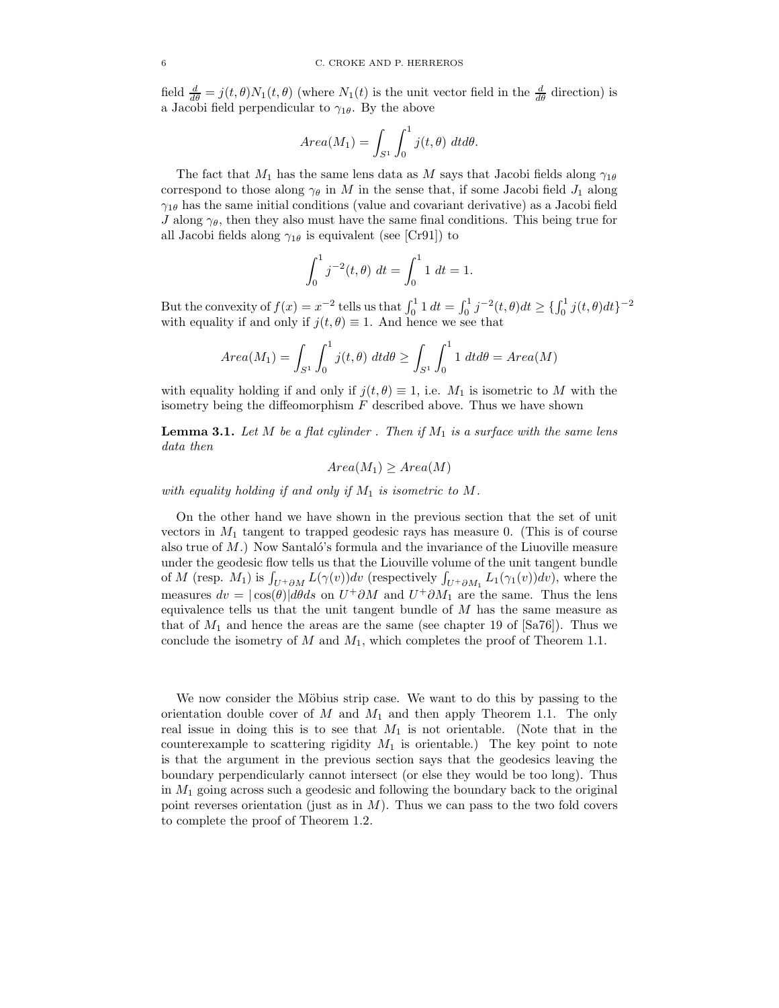field  $\frac{d}{d\theta} = j(t, \theta)N_1(t, \theta)$  (where  $N_1(t)$  is the unit vector field in the  $\frac{d}{d\theta}$  direction) is a Jacobi field perpendicular to  $\gamma_{1\theta}$ . By the above

$$
Area(M_1) = \int_{S^1} \int_0^1 j(t, \theta) dt d\theta.
$$

The fact that  $M_1$  has the same lens data as M says that Jacobi fields along  $\gamma_{1\theta}$ correspond to those along  $\gamma_{\theta}$  in M in the sense that, if some Jacobi field  $J_1$  along  $\gamma_{1\theta}$  has the same initial conditions (value and covariant derivative) as a Jacobi field J along  $\gamma_{\theta}$ , then they also must have the same final conditions. This being true for all Jacobi fields along  $\gamma_{1\theta}$  is equivalent (see [Cr91]) to

$$
\int_0^1 j^{-2}(t,\theta) dt = \int_0^1 1 dt = 1.
$$

But the convexity of  $f(x) = x^{-2}$  tells us that  $\int_0^1 1 dt = \int_0^1 j^{-2}(t, \theta) dt \geq {\int_0^1 j(t, \theta) dt}^{-2}$ with equality if and only if  $j(t, \theta) \equiv 1$ . And hence we see that

$$
Area(M_1) = \int_{S^1} \int_0^1 j(t,\theta) \ dt d\theta \ge \int_{S^1} \int_0^1 1 \ dt d\theta = Area(M)
$$

with equality holding if and only if  $j(t, \theta) \equiv 1$ , i.e.  $M_1$  is isometric to M with the isometry being the diffeomorphism  $F$  described above. Thus we have shown

**Lemma 3.1.** Let  $M$  be a flat cylinder . Then if  $M_1$  is a surface with the same lens *data then*

$$
Area(M_1) \geq Area(M)
$$

*with equality holding if and only if*  $M_1$  *is isometric to*  $M$ *.* 

On the other hand we have shown in the previous section that the set of unit vectors in  $M_1$  tangent to trapped geodesic rays has measure 0. (This is of course also true of  $M$ .) Now Santaló's formula and the invariance of the Liuoville measure under the geodesic flow tells us that the Liouville volume of the unit tangent bundle of M (resp.  $M_1$ ) is  $\int_{U^+\partial M} L(\gamma(v))dv$  (respectively  $\int_{U^+\partial M_1} L_1(\gamma_1(v))dv$ ), where the measures  $dv = |\cos(\theta)|d\theta ds$  on  $U^+\partial M$  and  $U^+\partial M_1$  are the same. Thus the lens equivalence tells us that the unit tangent bundle of  $M$  has the same measure as that of  $M_1$  and hence the areas are the same (see chapter 19 of [Sa76]). Thus we conclude the isometry of M and  $M_1$ , which completes the proof of Theorem 1.1.

We now consider the Möbius strip case. We want to do this by passing to the orientation double cover of  $M$  and  $M_1$  and then apply Theorem 1.1. The only real issue in doing this is to see that  $M_1$  is not orientable. (Note that in the counterexample to scattering rigidity  $M_1$  is orientable.) The key point to note is that the argument in the previous section says that the geodesics leaving the boundary perpendicularly cannot intersect (or else they would be too long). Thus in  $M_1$  going across such a geodesic and following the boundary back to the original point reverses orientation (just as in  $M$ ). Thus we can pass to the two fold covers to complete the proof of Theorem 1.2.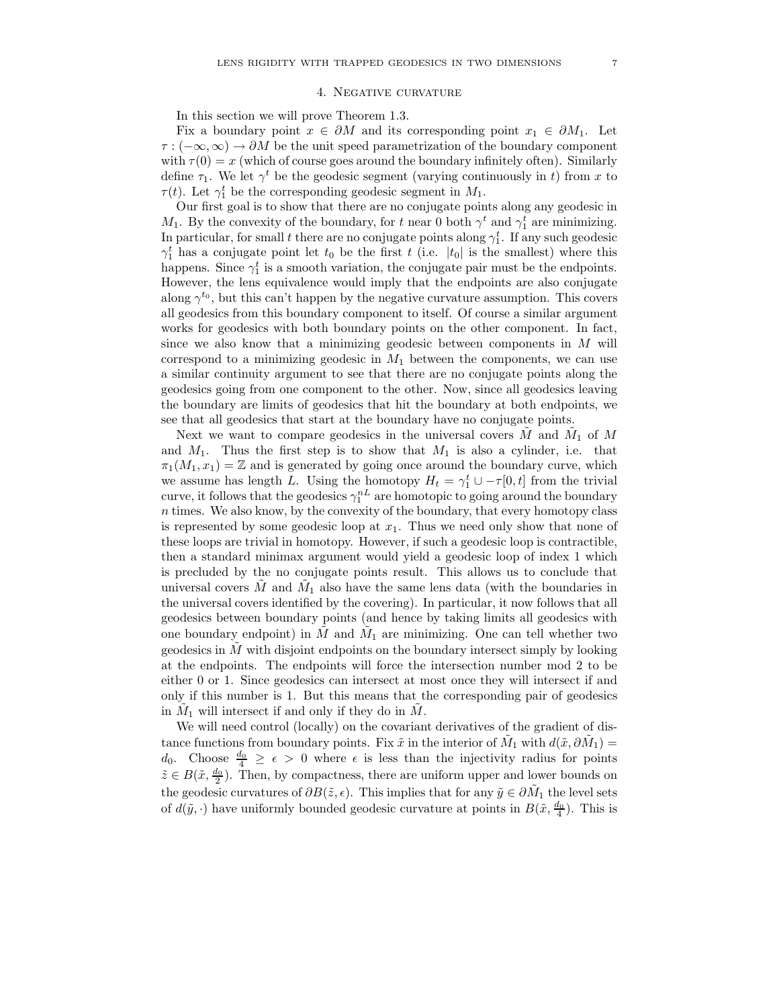#### 4. Negative curvature

In this section we will prove Theorem 1.3.

Fix a boundary point  $x \in \partial M$  and its corresponding point  $x_1 \in \partial M_1$ . Let  $\tau$ :  $(-\infty, \infty) \to \partial M$  be the unit speed parametrization of the boundary component with  $\tau(0) = x$  (which of course goes around the boundary infinitely often). Similarly define  $\tau_1$ . We let  $\gamma^t$  be the geodesic segment (varying continuously in t) from x to  $\tau(t)$ . Let  $\gamma_1^t$  be the corresponding geodesic segment in  $M_1$ .

Our first goal is to show that there are no conjugate points along any geodesic in  $M_1$ . By the convexity of the boundary, for t near 0 both  $\gamma^t$  and  $\gamma_1^t$  are minimizing. In particular, for small t there are no conjugate points along  $\gamma_1^t$ . If any such geodesic  $\gamma_1^t$  has a conjugate point let  $t_0$  be the first  $t$  (i.e.  $|t_0|$  is the smallest) where this happens. Since  $\gamma_1^t$  is a smooth variation, the conjugate pair must be the endpoints. However, the lens equivalence would imply that the endpoints are also conjugate along  $\gamma^{t_0}$ , but this can't happen by the negative curvature assumption. This covers all geodesics from this boundary component to itself. Of course a similar argument works for geodesics with both boundary points on the other component. In fact, since we also know that a minimizing geodesic between components in  $M$  will correspond to a minimizing geodesic in  $M_1$  between the components, we can use a similar continuity argument to see that there are no conjugate points along the geodesics going from one component to the other. Now, since all geodesics leaving the boundary are limits of geodesics that hit the boundary at both endpoints, we see that all geodesics that start at the boundary have no conjugate points.

Next we want to compare geodesics in the universal covers  $\tilde{M}$  and  $\tilde{M}_1$  of M and  $M_1$ . Thus the first step is to show that  $M_1$  is also a cylinder, i.e. that  $\pi_1(M_1, x_1) = \mathbb{Z}$  and is generated by going once around the boundary curve, which we assume has length L. Using the homotopy  $H_t = \gamma_1^t \cup -\tau[0, t]$  from the trivial curve, it follows that the geodesics  $\gamma_1^{nL}$  are homotopic to going around the boundary n times. We also know, by the convexity of the boundary, that every homotopy class is represented by some geodesic loop at  $x_1$ . Thus we need only show that none of these loops are trivial in homotopy. However, if such a geodesic loop is contractible, then a standard minimax argument would yield a geodesic loop of index 1 which is precluded by the no conjugate points result. This allows us to conclude that universal covers  $\tilde{M}$  and  $\tilde{M}_1$  also have the same lens data (with the boundaries in the universal covers identified by the covering). In particular, it now follows that all geodesics between boundary points (and hence by taking limits all geodesics with one boundary endpoint) in  $\tilde{M}$  and  $\tilde{M}_1$  are minimizing. One can tell whether two geodesics in  $\tilde{M}$  with disjoint endpoints on the boundary intersect simply by looking at the endpoints. The endpoints will force the intersection number mod 2 to be either 0 or 1. Since geodesics can intersect at most once they will intersect if and only if this number is 1. But this means that the corresponding pair of geodesics in  $\tilde{M}_1$  will intersect if and only if they do in  $\tilde{M}$ .

We will need control (locally) on the covariant derivatives of the gradient of distance functions from boundary points. Fix  $\tilde{x}$  in the interior of  $\tilde{M}_1$  with  $d(\tilde{x}, \partial \tilde{M}_1) =$ d<sub>0</sub>. Choose  $\frac{d_0}{4} \geq \epsilon > 0$  where  $\epsilon$  is less than the injectivity radius for points  $\tilde{z} \in B(\tilde{x}, \frac{d_0}{2})$ . Then, by compactness, there are uniform upper and lower bounds on the geodesic curvatures of  $\partial B(\tilde{z}, \epsilon)$ . This implies that for any  $\tilde{y} \in \partial \tilde{M}_1$  the level sets of  $d(\tilde{y}, \cdot)$  have uniformly bounded geodesic curvature at points in  $B(\tilde{x}, \frac{d_0}{4})$ . This is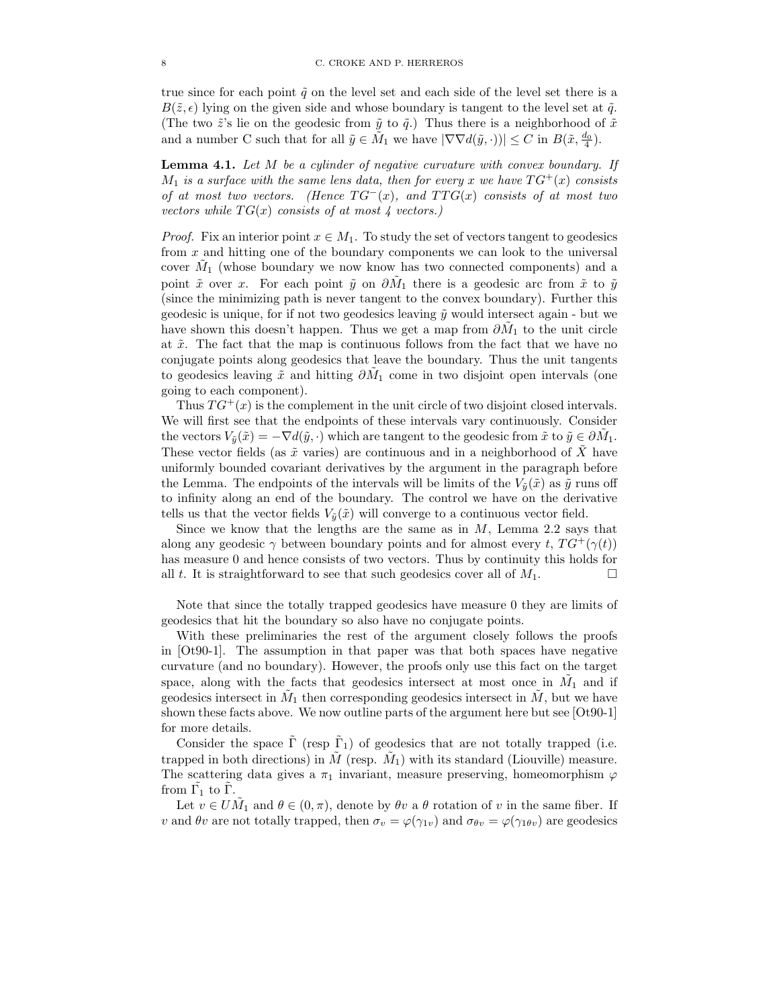true since for each point  $\tilde{q}$  on the level set and each side of the level set there is a  $B(\tilde{z}, \epsilon)$  lying on the given side and whose boundary is tangent to the level set at  $\tilde{q}$ . (The two  $\tilde{z}$ 's lie on the geodesic from  $\tilde{y}$  to  $\tilde{q}$ .) Thus there is a neighborhood of  $\tilde{x}$ and a number C such that for all  $\tilde{y} \in \tilde{M}_1$  we have  $|\nabla \nabla d(\tilde{y}, \cdot)| \leq C$  in  $B(\tilde{x}, \frac{d_0}{4})$ .

Lemma 4.1. *Let* M *be a cylinder of negative curvature with convex boundary. If*  $M_1$  *is a surface with the same lens data, then for every* x *we have*  $TG^+(x)$  *consists of at most two vectors.* (Hence  $TG^-(x)$ *, and*  $TTG(x)$  *consists of at most two vectors while*  $TG(x)$  *consists of at most 4 vectors.*)

*Proof.* Fix an interior point  $x \in M_1$ . To study the set of vectors tangent to geodesics from x and hitting one of the boundary components we can look to the universal cover  $\tilde{M}_1$  (whose boundary we now know has two connected components) and a point  $\tilde{x}$  over x. For each point  $\tilde{y}$  on  $\partial \tilde{M}_1$  there is a geodesic arc from  $\tilde{x}$  to  $\tilde{y}$ (since the minimizing path is never tangent to the convex boundary). Further this geodesic is unique, for if not two geodesics leaving  $\tilde{y}$  would intersect again - but we have shown this doesn't happen. Thus we get a map from  $\partial \tilde{M}_1$  to the unit circle at  $\tilde{x}$ . The fact that the map is continuous follows from the fact that we have no conjugate points along geodesics that leave the boundary. Thus the unit tangents to geodesics leaving  $\tilde{x}$  and hitting  $\partial \tilde{M}_1$  come in two disjoint open intervals (one going to each component).

Thus  $TG^+(x)$  is the complement in the unit circle of two disjoint closed intervals. We will first see that the endpoints of these intervals vary continuously. Consider the vectors  $V_{\tilde{y}}(\tilde{x}) = -\nabla d(\tilde{y}, \cdot)$  which are tangent to the geodesic from  $\tilde{x}$  to  $\tilde{y} \in \partial M_1$ . These vector fields (as  $\tilde{x}$  varies) are continuous and in a neighborhood of X have uniformly bounded covariant derivatives by the argument in the paragraph before the Lemma. The endpoints of the intervals will be limits of the  $V_{\tilde{y}}(\tilde{x})$  as  $\tilde{y}$  runs off to infinity along an end of the boundary. The control we have on the derivative tells us that the vector fields  $V_{\tilde{v}}(\tilde{x})$  will converge to a continuous vector field.

Since we know that the lengths are the same as in  $M$ , Lemma 2.2 says that along any geodesic  $\gamma$  between boundary points and for almost every t,  $TG^+(\gamma(t))$ has measure 0 and hence consists of two vectors. Thus by continuity this holds for all t. It is straightforward to see that such geodesics cover all of  $M_1$ .

Note that since the totally trapped geodesics have measure 0 they are limits of geodesics that hit the boundary so also have no conjugate points.

With these preliminaries the rest of the argument closely follows the proofs in [Ot90-1]. The assumption in that paper was that both spaces have negative curvature (and no boundary). However, the proofs only use this fact on the target space, along with the facts that geodesics intersect at most once in  $\tilde{M}_1$  and if geodesics intersect in  $\tilde{M}_1$  then corresponding geodesics intersect in  $\tilde{M}$ , but we have shown these facts above. We now outline parts of the argument here but see [Ot90-1] for more details.

Consider the space  $\tilde{\Gamma}$  (resp  $\tilde{\Gamma}_1$ ) of geodesics that are not totally trapped (i.e. trapped in both directions) in  $\tilde{M}$  (resp.  $\tilde{M}_1$ ) with its standard (Liouville) measure. The scattering data gives a  $\pi_1$  invariant, measure preserving, homeomorphism  $\varphi$ from  $\tilde{\Gamma_1}$  to  $\tilde{\Gamma}$ .

Let  $v \in U\tilde{M}_1$  and  $\theta \in (0, \pi)$ , denote by  $\theta v$  a  $\theta$  rotation of v in the same fiber. If v and  $\theta v$  are not totally trapped, then  $\sigma_v = \varphi(\gamma_{1v})$  and  $\sigma_{\theta v} = \varphi(\gamma_{1\theta v})$  are geodesics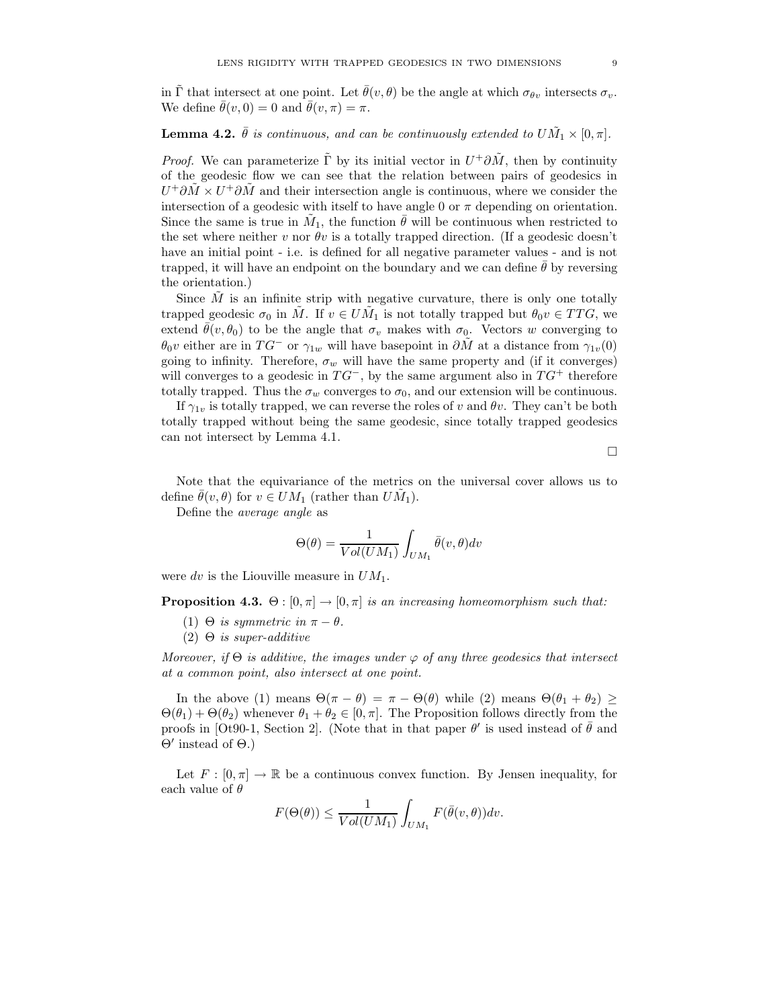in  $\tilde{\Gamma}$  that intersect at one point. Let  $\bar{\theta}(v, \theta)$  be the angle at which  $\sigma_{\theta v}$  intersects  $\sigma_{v}$ . We define  $\bar{\theta}(v, 0) = 0$  and  $\bar{\theta}(v, \pi) = \pi$ .

# **Lemma 4.2.**  $\bar{\theta}$  is continuous, and can be continuously extended to  $U \tilde{M}_1 \times [0, \pi]$ .

*Proof.* We can parameterize  $\tilde{\Gamma}$  by its initial vector in  $U^+ \partial \tilde{M}$ , then by continuity of the geodesic flow we can see that the relation between pairs of geodesics in  $U^+\partial \tilde{M} \times U^+\partial \tilde{M}$  and their intersection angle is continuous, where we consider the intersection of a geodesic with itself to have angle 0 or  $\pi$  depending on orientation. Since the same is true in  $\tilde{M}_1$ , the function  $\bar{\theta}$  will be continuous when restricted to the set where neither v nor  $\theta v$  is a totally trapped direction. (If a geodesic doesn't have an initial point - i.e. is defined for all negative parameter values - and is not trapped, it will have an endpoint on the boundary and we can define  $\theta$  by reversing the orientation.)

Since  $\tilde{M}$  is an infinite strip with negative curvature, there is only one totally trapped geodesic  $\sigma_0$  in  $\tilde{M}$ . If  $v \in U\tilde{M}_1$  is not totally trapped but  $\theta_0v \in TTG$ , we extend  $\bar{\theta}(v, \theta_0)$  to be the angle that  $\sigma_v$  makes with  $\sigma_0$ . Vectors w converging to  $\theta_0v$  either are in  $TG^-$  or  $\gamma_{1w}$  will have basepoint in  $\partial M$  at a distance from  $\gamma_{1v}(0)$ going to infinity. Therefore,  $\sigma_w$  will have the same property and (if it converges) will converges to a geodesic in  $TG^-$ , by the same argument also in  $TG^+$  therefore totally trapped. Thus the  $\sigma_w$  converges to  $\sigma_0$ , and our extension will be continuous.

If  $\gamma_{1v}$  is totally trapped, we can reverse the roles of v and  $\theta v$ . They can't be both totally trapped without being the same geodesic, since totally trapped geodesics can not intersect by Lemma 4.1.

 $\Box$ 

Note that the equivariance of the metrics on the universal cover allows us to define  $\bar{\theta}(v,\theta)$  for  $v \in UM_1$  (rather than  $U\tilde{M}_1$ ).

Define the *average angle* as

$$
\Theta(\theta) = \frac{1}{Vol(UM_1)} \int_{UM_1} \bar{\theta}(v,\theta) dv
$$

were dv is the Liouville measure in  $UM_1$ .

**Proposition 4.3.** Θ :  $[0, \pi] \rightarrow [0, \pi]$  *is an increasing homeomorphism such that:* 

- (1)  $\Theta$  *is symmetric in*  $\pi \theta$ *.*
- (2) Θ *is super-additive*

*Moreover, if*  $\Theta$  *is additive, the images under*  $\varphi$  *of any three geodesics that intersect at a common point, also intersect at one point.*

In the above (1) means  $\Theta(\pi - \theta) = \pi - \Theta(\theta)$  while (2) means  $\Theta(\theta_1 + \theta_2) \ge$  $\Theta(\theta_1) + \Theta(\theta_2)$  whenever  $\theta_1 + \theta_2 \in [0, \pi]$ . The Proposition follows directly from the proofs in [Ot90-1, Section 2]. (Note that in that paper  $\theta'$  is used instead of  $\bar{\theta}$  and Θ′ instead of Θ.)

Let  $F : [0, \pi] \to \mathbb{R}$  be a continuous convex function. By Jensen inequality, for each value of  $\theta$ 

$$
F(\Theta(\theta)) \le \frac{1}{Vol(UM_1)} \int_{UM_1} F(\bar{\theta}(v,\theta)) dv.
$$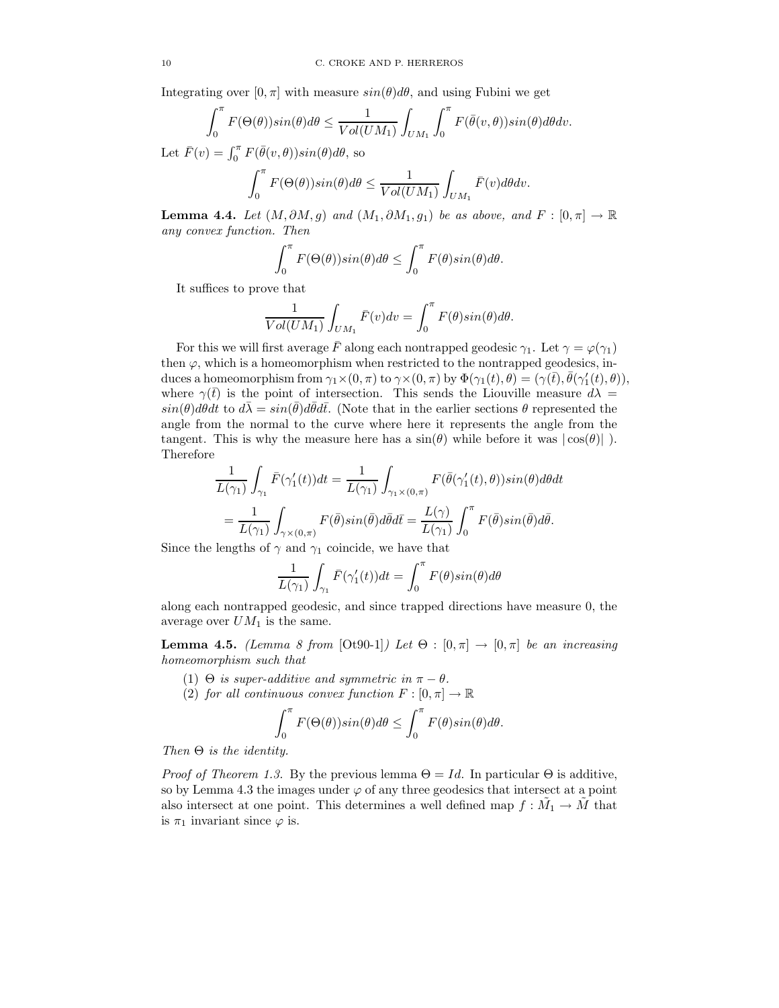Integrating over  $[0, \pi]$  with measure  $sin(\theta)d\theta$ , and using Fubini we get

$$
\int_0^{\pi} F(\Theta(\theta)) sin(\theta) d\theta \le \frac{1}{Vol(UM_1)} \int_{UM_1} \int_0^{\pi} F(\bar{\theta}(v,\theta)) sin(\theta) d\theta dv.
$$

Let  $\bar{F}(v) = \int_0^{\pi} F(\bar{\theta}(v,\theta)) sin(\theta) d\theta$ , so

$$
\int_0^{\pi} F(\Theta(\theta)) sin(\theta) d\theta \le \frac{1}{Vol(UM_1)} \int_{UM_1} \bar{F}(v) d\theta dv.
$$

**Lemma 4.4.** *Let*  $(M, \partial M, g)$  *and*  $(M_1, \partial M_1, g_1)$  *be as above, and*  $F : [0, \pi] \to \mathbb{R}$ *any convex function. Then*

$$
\int_0^{\pi} F(\Theta(\theta)) sin(\theta) d\theta \le \int_0^{\pi} F(\theta) sin(\theta) d\theta.
$$

It suffices to prove that

$$
\frac{1}{Vol(UM_1)} \int_{UM_1} \bar{F}(v) dv = \int_0^{\pi} F(\theta) sin(\theta) d\theta.
$$

For this we will first average F along each nontrapped geodesic  $\gamma_1$ . Let  $\gamma = \varphi(\gamma_1)$ then  $\varphi$ , which is a homeomorphism when restricted to the nontrapped geodesics, induces a homeomorphism from  $\gamma_1 \times (0, \pi)$  to  $\gamma \times (0, \pi)$  by  $\Phi(\gamma_1(t), \theta) = (\gamma(\bar{t}), \bar{\theta}(\gamma_1'(t), \theta)),$ where  $\gamma(\bar{t})$  is the point of intersection. This sends the Liouville measure  $d\lambda =$  $sin(\theta)d\theta dt$  to  $d\bar{\lambda} = sin(\bar{\theta})d\bar{\theta}d\bar{t}$ . (Note that in the earlier sections  $\theta$  represented the angle from the normal to the curve where here it represents the angle from the tangent. This is why the measure here has a  $\sin(\theta)$  while before it was  $|\cos(\theta)|$ . Therefore

$$
\frac{1}{L(\gamma_1)} \int_{\gamma_1} \bar{F}(\gamma_1'(t))dt = \frac{1}{L(\gamma_1)} \int_{\gamma_1 \times (0,\pi)} F(\bar{\theta}(\gamma_1'(t),\theta))sin(\theta)d\theta dt \n= \frac{1}{L(\gamma_1)} \int_{\gamma \times (0,\pi)} F(\bar{\theta})sin(\bar{\theta})d\bar{\theta}d\bar{t} = \frac{L(\gamma)}{L(\gamma_1)} \int_0^{\pi} F(\bar{\theta})sin(\bar{\theta})d\bar{\theta}.
$$

Since the lengths of  $\gamma$  and  $\gamma_1$  coincide, we have that

$$
\frac{1}{L(\gamma_1)}\int_{\gamma_1}\bar{F}(\gamma_1'(t))dt = \int_0^{\pi}F(\theta)sin(\theta)d\theta
$$

along each nontrapped geodesic, and since trapped directions have measure 0, the average over  $UM_1$  is the same.

**Lemma 4.5.** *(Lemma 8 from* [Ot90-1]*) Let*  $\Theta$  : [0, π]  $\rightarrow$  [0, π] *be an increasing homeomorphism such that*

(1)  $\Theta$  *is super-additive and symmetric in*  $\pi - \theta$ *.* 

 $\overline{a}$ 

(2) *for all continuous convex function*  $F : [0, \pi] \to \mathbb{R}$ 

$$
\int_0^{\pi} F(\Theta(\theta)) sin(\theta) d\theta \le \int_0^{\pi} F(\theta) sin(\theta) d\theta.
$$

*Then* Θ *is the identity.*

*Proof of Theorem 1.3.* By the previous lemma  $\Theta = Id$ . In particular  $\Theta$  is additive, so by Lemma 4.3 the images under  $\varphi$  of any three geodesics that intersect at a point also intersect at one point. This determines a well defined map  $f : \tilde{M_1} \to \tilde{M}$  that is  $\pi_1$  invariant since  $\varphi$  is.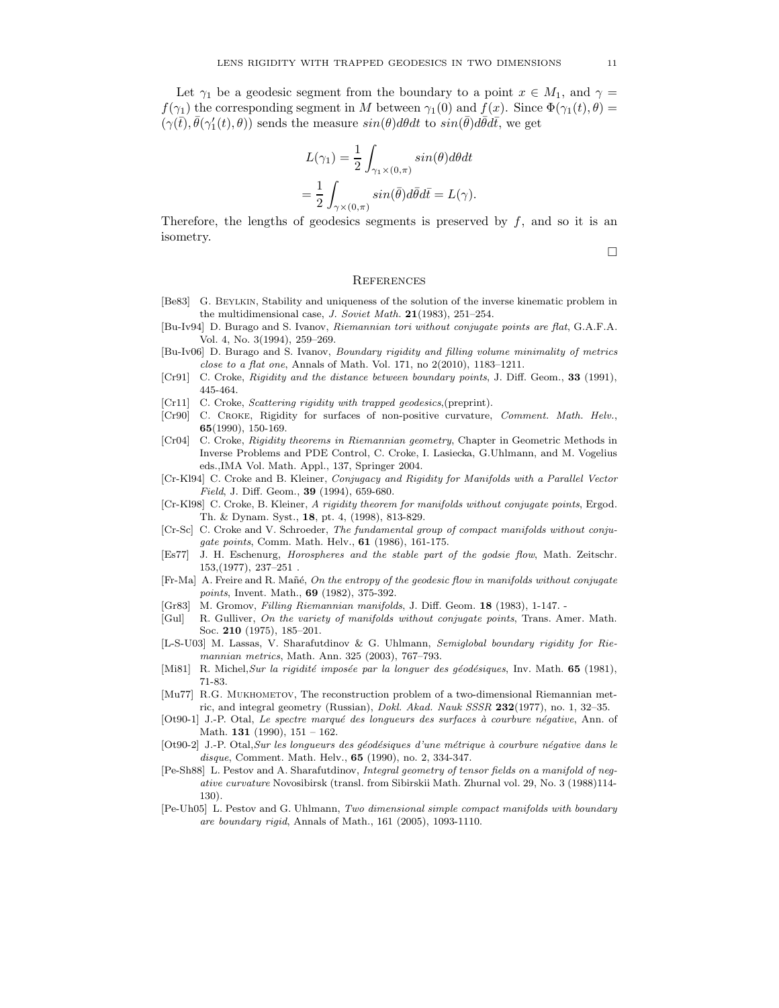Let  $\gamma_1$  be a geodesic segment from the boundary to a point  $x \in M_1$ , and  $\gamma =$  $f(\gamma_1)$  the corresponding segment in M between  $\gamma_1(0)$  and  $f(x)$ . Since  $\Phi(\gamma_1(t), \theta)$  =  $(\gamma(\bar{t}), \bar{\theta}(\gamma_1'(t), \theta))$  sends the measure  $sin(\theta)d\theta dt$  to  $sin(\bar{\theta})d\bar{\theta}d\bar{t}$ , we get

$$
L(\gamma_1) = \frac{1}{2} \int_{\gamma_1 \times (0,\pi)} sin(\theta) d\theta dt
$$
  
= 
$$
\frac{1}{2} \int_{\gamma \times (0,\pi)} sin(\bar{\theta}) d\bar{\theta} d\bar{t} = L(\gamma).
$$

Therefore, the lengths of geodesics segments is preserved by  $f$ , and so it is an isometry.

 $\Box$ 

#### **REFERENCES**

- [Be83] G. Beylkin, Stability and uniqueness of the solution of the inverse kinematic problem in the multidimensional case, J. Soviet Math.  $21(1983)$ , 251–254.
- [Bu-Iv94] D. Burago and S. Ivanov, Riemannian tori without conjugate points are flat, G.A.F.A. Vol. 4, No. 3(1994), 259–269.
- [Bu-Iv06] D. Burago and S. Ivanov, Boundary rigidity and filling volume minimality of metrics close to a flat one, Annals of Math. Vol. 171, no  $2(2010)$ , 1183-1211.
- [Cr91] C. Croke, Rigidity and the distance between boundary points, J. Diff. Geom., 33 (1991), 445-464.
- [Cr11] C. Croke, *Scattering rigidity with trapped geodesics*, (preprint).
- [Cr90] C. Croke, Rigidity for surfaces of non-positive curvature, Comment. Math. Helv., 65(1990), 150-169.
- [Cr04] C. Croke, Rigidity theorems in Riemannian geometry, Chapter in Geometric Methods in Inverse Problems and PDE Control, C. Croke, I. Lasiecka, G.Uhlmann, and M. Vogelius eds.,IMA Vol. Math. Appl., 137, Springer 2004.
- [Cr-Kl94] C. Croke and B. Kleiner, Conjugacy and Rigidity for Manifolds with a Parallel Vector Field, J. Diff. Geom., 39 (1994), 659-680.
- [Cr-Kl98] C. Croke, B. Kleiner, A rigidity theorem for manifolds without conjugate points, Ergod. Th. & Dynam. Syst., 18, pt. 4, (1998), 813-829.
- [Cr-Sc] C. Croke and V. Schroeder, The fundamental group of compact manifolds without conjugate points, Comm. Math. Helv., 61 (1986), 161-175.
- [Es77] J. H. Eschenurg, Horospheres and the stable part of the godsie flow, Math. Zeitschr. 153,(1977), 237–251 .
- [Fr-Ma] A. Freire and R. Mañé, On the entropy of the geodesic flow in manifolds without conjugate points, Invent. Math., 69 (1982), 375-392.
- [Gr83] M. Gromov, Filling Riemannian manifolds, J. Diff. Geom. 18 (1983), 1-147. -
- [Gul] R. Gulliver, On the variety of manifolds without conjugate points, Trans. Amer. Math. Soc. 210 (1975), 185–201.
- [L-S-U03] M. Lassas, V. Sharafutdinov & G. Uhlmann, Semiglobal boundary rigidity for Riemannian metrics, Math. Ann. 325 (2003), 767–793.
- [Mi81] R. Michel, Sur la rigidité imposée par la longuer des géodésiques, Inv. Math. 65 (1981), 71-83.
- [Mu77] R.G. MUKHOMETOV, The reconstruction problem of a two-dimensional Riemannian metric, and integral geometry (Russian), Dokl. Akad. Nauk SSSR 232(1977), no. 1, 32–35.
- [Ot90-1] J.-P. Otal, Le spectre marqué des longueurs des surfaces à courbure négative, Ann. of Math. 131 (1990), 151 – 162.
- [Ot90-2] J.-P. Otal, Sur les longueurs des géodésiques d'une métrique à courbure négative dans le disque, Comment. Math. Helv., **65** (1990), no. 2, 334-347.
- [Pe-Sh88] L. Pestov and A. Sharafutdinov, Integral geometry of tensor fields on a manifold of negative curvature Novosibirsk (transl. from Sibirskii Math. Zhurnal vol. 29, No. 3 (1988)114- 130).
- [Pe-Uh05] L. Pestov and G. Uhlmann, Two dimensional simple compact manifolds with boundary are boundary rigid, Annals of Math., 161 (2005), 1093-1110.